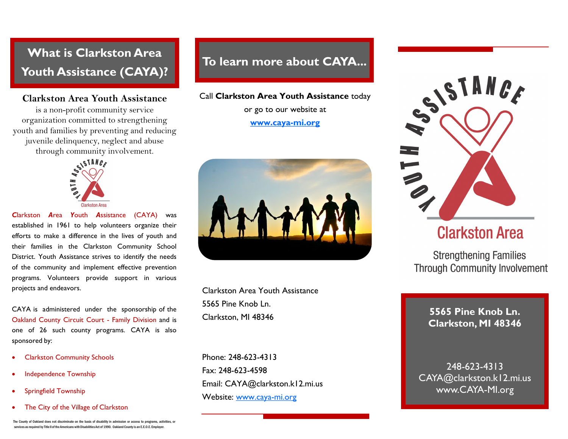# **What is Clarkston Area Youth Assistance (CAYA)?**

## **Clarkston Area Youth Assistance**

is a non-profit community service organization committed to strengthening youth and families by preventing and reducing juvenile delinquency, neglect and abuse through community involvement.



*C*larkston *A*rea *Y*outh *A*ssistance (CAYA) was established in 1961 to help volunteers organize their efforts to make a difference in the lives of youth and their families in the Clarkston Community School District. Youth Assistance strives to identify the needs of the community and implement effective prevention programs. Volunteers provide support in various projects and endeavors.

CAYA is administered under the sponsorship of the Oakland County Circuit Court - Family Division and is one of 26 such county programs. CAYA is also sponsored by:

- Clarkston Community Schools
- Independence Township
- Springfield Township
- The City of the Village of Clarkston

# **To learn more about CAYA...**

#### Call **Clarkston Area Youth Assistance** today

or go to our website at **[www.caya-mi.org](http://www.caya-mi.org)**



Clarkston Area Youth Assistance 5565 Pine Knob Ln. Clarkston, MI 48346

Phone: 248-623-4313 Fax: 248-623-4598 Email: CAYA@clarkston.k12.mi.us Website: [www.caya-mi.org](http://www.caya-mi.org)



# **Clarkston Area**

**Strengthening Families Through Community Involvement** 

> **5565 Pine Knob Ln. Clarkston, MI 48346**

248-623-4313 CAYA@clarkston.k12.mi.us www.CAYA-MI.org